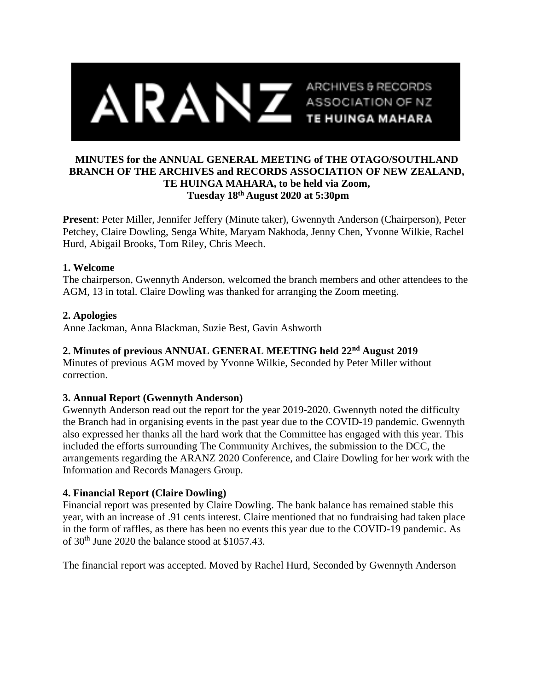

## **MINUTES for the ANNUAL GENERAL MEETING of THE OTAGO/SOUTHLAND BRANCH OF THE ARCHIVES and RECORDS ASSOCIATION OF NEW ZEALAND, TE HUINGA MAHARA, to be held via Zoom, Tuesday 18th August 2020 at 5:30pm**

**Present**: Peter Miller, Jennifer Jeffery (Minute taker), Gwennyth Anderson (Chairperson), Peter Petchey, Claire Dowling, Senga White, Maryam Nakhoda, Jenny Chen, Yvonne Wilkie, Rachel Hurd, Abigail Brooks, Tom Riley, Chris Meech.

### **1. Welcome**

The chairperson, Gwennyth Anderson, welcomed the branch members and other attendees to the AGM, 13 in total. Claire Dowling was thanked for arranging the Zoom meeting.

### **2. Apologies**

Anne Jackman, Anna Blackman, Suzie Best, Gavin Ashworth

## **2. Minutes of previous ANNUAL GENERAL MEETING held 22nd August 2019**

Minutes of previous AGM moved by Yvonne Wilkie, Seconded by Peter Miller without correction.

# **3. Annual Report (Gwennyth Anderson)**

Gwennyth Anderson read out the report for the year 2019-2020. Gwennyth noted the difficulty the Branch had in organising events in the past year due to the COVID-19 pandemic. Gwennyth also expressed her thanks all the hard work that the Committee has engaged with this year. This included the efforts surrounding The Community Archives, the submission to the DCC, the arrangements regarding the ARANZ 2020 Conference, and Claire Dowling for her work with the Information and Records Managers Group.

# **4. Financial Report (Claire Dowling)**

Financial report was presented by Claire Dowling. The bank balance has remained stable this year, with an increase of .91 cents interest. Claire mentioned that no fundraising had taken place in the form of raffles, as there has been no events this year due to the COVID-19 pandemic. As of 30th June 2020 the balance stood at \$1057.43.

The financial report was accepted. Moved by Rachel Hurd, Seconded by Gwennyth Anderson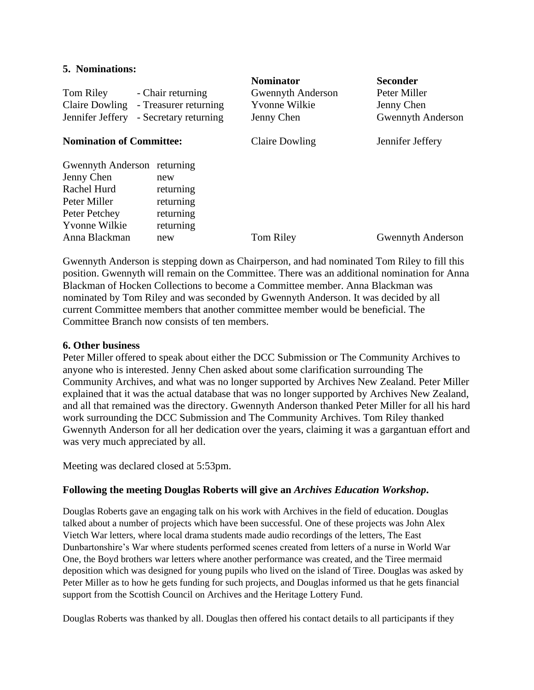#### **5. Nominations:**

| Tom Riley<br>Claire Dowling<br>Jennifer Jeffery | - Chair returning<br>- Treasurer returning<br>- Secretary returning | <b>Nominator</b><br>Gwennyth Anderson<br>Yvonne Wilkie<br>Jenny Chen | <b>Seconder</b><br>Peter Miller<br>Jenny Chen<br><b>Gwennyth Anderson</b> |
|-------------------------------------------------|---------------------------------------------------------------------|----------------------------------------------------------------------|---------------------------------------------------------------------------|
| <b>Nomination of Committee:</b>                 |                                                                     | Claire Dowling                                                       | Jennifer Jeffery                                                          |
| Gwennyth Anderson returning                     |                                                                     |                                                                      |                                                                           |
| Jenny Chen                                      | new                                                                 |                                                                      |                                                                           |
| Rachel Hurd                                     | returning                                                           |                                                                      |                                                                           |
| Peter Miller                                    | returning                                                           |                                                                      |                                                                           |
| Peter Petchey                                   | returning                                                           |                                                                      |                                                                           |
| <b>Yvonne Wilkie</b>                            | returning                                                           |                                                                      |                                                                           |
| Anna Blackman                                   | new                                                                 | <b>Tom Riley</b>                                                     | <b>Gwennyth Anderson</b>                                                  |

Gwennyth Anderson is stepping down as Chairperson, and had nominated Tom Riley to fill this position. Gwennyth will remain on the Committee. There was an additional nomination for Anna Blackman of Hocken Collections to become a Committee member. Anna Blackman was nominated by Tom Riley and was seconded by Gwennyth Anderson. It was decided by all current Committee members that another committee member would be beneficial. The Committee Branch now consists of ten members.

#### **6. Other business**

Peter Miller offered to speak about either the DCC Submission or The Community Archives to anyone who is interested. Jenny Chen asked about some clarification surrounding The Community Archives, and what was no longer supported by Archives New Zealand. Peter Miller explained that it was the actual database that was no longer supported by Archives New Zealand, and all that remained was the directory. Gwennyth Anderson thanked Peter Miller for all his hard work surrounding the DCC Submission and The Community Archives. Tom Riley thanked Gwennyth Anderson for all her dedication over the years, claiming it was a gargantuan effort and was very much appreciated by all.

Meeting was declared closed at 5:53pm.

### **Following the meeting Douglas Roberts will give an** *Archives Education Workshop***.**

Douglas Roberts gave an engaging talk on his work with Archives in the field of education. Douglas talked about a number of projects which have been successful. One of these projects was John Alex Vietch War letters, where local drama students made audio recordings of the letters, The East Dunbartonshire's War where students performed scenes created from letters of a nurse in World War One, the Boyd brothers war letters where another performance was created, and the Tiree mermaid deposition which was designed for young pupils who lived on the island of Tiree. Douglas was asked by Peter Miller as to how he gets funding for such projects, and Douglas informed us that he gets financial support from the Scottish Council on Archives and the Heritage Lottery Fund.

Douglas Roberts was thanked by all. Douglas then offered his contact details to all participants if they